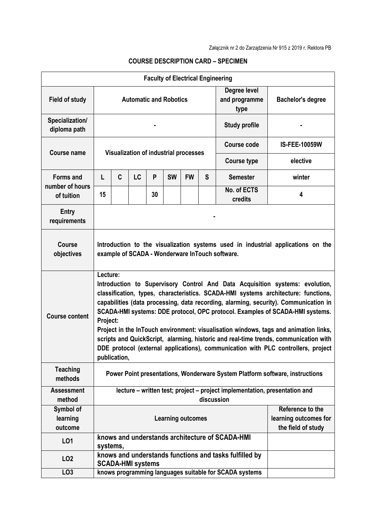|                                     |                                                                                                                                     |                                                                                                                                                                                                                                                                                                                                                                                                                                                                                                                                                                                                                                                          |           |    |           | <b>Faculty of Electrical Engineering</b> |   |                                                                 |                      |
|-------------------------------------|-------------------------------------------------------------------------------------------------------------------------------------|----------------------------------------------------------------------------------------------------------------------------------------------------------------------------------------------------------------------------------------------------------------------------------------------------------------------------------------------------------------------------------------------------------------------------------------------------------------------------------------------------------------------------------------------------------------------------------------------------------------------------------------------------------|-----------|----|-----------|------------------------------------------|---|-----------------------------------------------------------------|----------------------|
| <b>Field of study</b>               | Degree level<br><b>Automatic and Robotics</b><br>and programme<br>type                                                              |                                                                                                                                                                                                                                                                                                                                                                                                                                                                                                                                                                                                                                                          |           |    |           |                                          |   | <b>Bachelor's degree</b>                                        |                      |
| Specialization/<br>diploma path     | <b>Study profile</b>                                                                                                                |                                                                                                                                                                                                                                                                                                                                                                                                                                                                                                                                                                                                                                                          |           |    |           |                                          |   |                                                                 |                      |
| <b>Course name</b>                  | <b>Visualization of industrial processes</b>                                                                                        |                                                                                                                                                                                                                                                                                                                                                                                                                                                                                                                                                                                                                                                          |           |    |           |                                          |   | <b>Course code</b>                                              | <b>IS-FEE-10059W</b> |
|                                     |                                                                                                                                     |                                                                                                                                                                                                                                                                                                                                                                                                                                                                                                                                                                                                                                                          |           |    |           |                                          |   | <b>Course type</b>                                              | elective             |
| <b>Forms and</b><br>number of hours | L                                                                                                                                   | C                                                                                                                                                                                                                                                                                                                                                                                                                                                                                                                                                                                                                                                        | <b>LC</b> | P  | <b>SW</b> | <b>FW</b>                                | S | <b>Semester</b>                                                 | winter               |
| of tuition                          | 15                                                                                                                                  |                                                                                                                                                                                                                                                                                                                                                                                                                                                                                                                                                                                                                                                          |           | 30 |           |                                          |   | No. of ECTS<br>credits                                          | 4                    |
| <b>Entry</b><br>requirements        |                                                                                                                                     |                                                                                                                                                                                                                                                                                                                                                                                                                                                                                                                                                                                                                                                          |           |    |           |                                          |   |                                                                 |                      |
| <b>Course</b><br>objectives         | Introduction to the visualization systems used in industrial applications on the<br>example of SCADA - Wonderware InTouch software. |                                                                                                                                                                                                                                                                                                                                                                                                                                                                                                                                                                                                                                                          |           |    |           |                                          |   |                                                                 |                      |
| <b>Course content</b>               |                                                                                                                                     | Lecture:<br>Introduction to Supervisory Control And Data Acquisition systems: evolution,<br>classification, types, characteristics. SCADA-HMI systems architecture: functions,<br>capabilities (data processing, data recording, alarming, security). Communication in<br>SCADA-HMI systems: DDE protocol, OPC protocol. Examples of SCADA-HMI systems.<br>Project:<br>Project in the InTouch environment: visualisation windows, tags and animation links,<br>scripts and QuickScript, alarming, historic and real-time trends, communication with<br>DDE protocol (external applications), communication with PLC controllers, project<br>publication, |           |    |           |                                          |   |                                                                 |                      |
| <b>Teaching</b><br>methods          | Power Point presentations, Wonderware System Platform software, instructions                                                        |                                                                                                                                                                                                                                                                                                                                                                                                                                                                                                                                                                                                                                                          |           |    |           |                                          |   |                                                                 |                      |
| <b>Assessment</b><br>method         | lecture – written test; project – project implementation, presentation and<br>discussion                                            |                                                                                                                                                                                                                                                                                                                                                                                                                                                                                                                                                                                                                                                          |           |    |           |                                          |   |                                                                 |                      |
| Symbol of<br>learning<br>outcome    | <b>Learning outcomes</b>                                                                                                            |                                                                                                                                                                                                                                                                                                                                                                                                                                                                                                                                                                                                                                                          |           |    |           |                                          |   | Reference to the<br>learning outcomes for<br>the field of study |                      |
| L01                                 | systems,                                                                                                                            |                                                                                                                                                                                                                                                                                                                                                                                                                                                                                                                                                                                                                                                          |           |    |           |                                          |   | knows and understands architecture of SCADA-HMI                 |                      |
| LO <sub>2</sub>                     | knows and understands functions and tasks fulfilled by<br><b>SCADA-HMI systems</b>                                                  |                                                                                                                                                                                                                                                                                                                                                                                                                                                                                                                                                                                                                                                          |           |    |           |                                          |   |                                                                 |                      |
| LO <sub>3</sub>                     |                                                                                                                                     |                                                                                                                                                                                                                                                                                                                                                                                                                                                                                                                                                                                                                                                          |           |    |           |                                          |   | knows programming languages suitable for SCADA systems          |                      |

## **COURSE DESCRIPTION CARD – SPECIMEN**